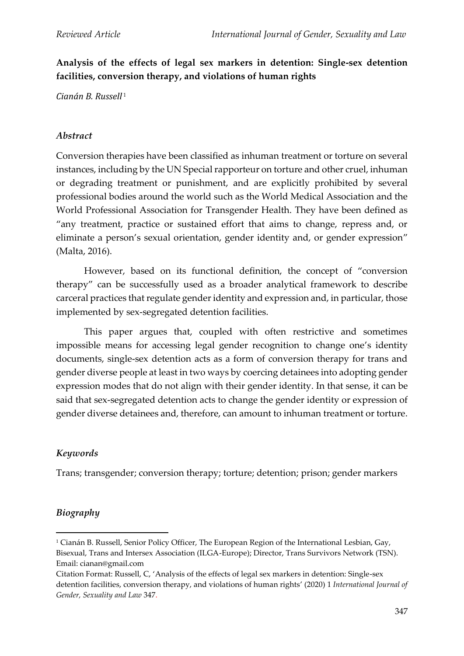**Analysis of the effects of legal sex markers in detention: Single-sex detention facilities, conversion therapy, and violations of human rights**

*Cianán B. Russell* <sup>1</sup>

### *Abstract*

Conversion therapies have been classified as inhuman treatment or torture on several instances, including by the UN Special rapporteur on torture and other cruel, inhuman or degrading treatment or punishment, and are explicitly prohibited by several professional bodies around the world such as the World Medical Association and the World Professional Association for Transgender Health. They have been defined as "any treatment, practice or sustained effort that aims to change, repress and, or eliminate a person's sexual orientation, gender identity and, or gender expression" (Malta, 2016).

However, based on its functional definition, the concept of "conversion therapy" can be successfully used as a broader analytical framework to describe carceral practices that regulate gender identity and expression and, in particular, those implemented by sex-segregated detention facilities.

This paper argues that, coupled with often restrictive and sometimes impossible means for accessing legal gender recognition to change one's identity documents, single-sex detention acts as a form of conversion therapy for trans and gender diverse people at least in two ways by coercing detainees into adopting gender expression modes that do not align with their gender identity. In that sense, it can be said that sex-segregated detention acts to change the gender identity or expression of gender diverse detainees and, therefore, can amount to inhuman treatment or torture.

## *Keywords*

Trans; transgender; conversion therapy; torture; detention; prison; gender markers

## *Biography*

<sup>1</sup> Cianán B. Russell, Senior Policy Officer, The European Region of the International Lesbian, Gay, Bisexual, Trans and Intersex Association (ILGA-Europe); Director, Trans Survivors Network (TSN). Email: cianan@gmail.com

Citation Format: Russell, C, 'Analysis of the effects of legal sex markers in detention: Single-sex detention facilities, conversion therapy, and violations of human rights' (2020) 1 *International Journal of Gender, Sexuality and Law* 347.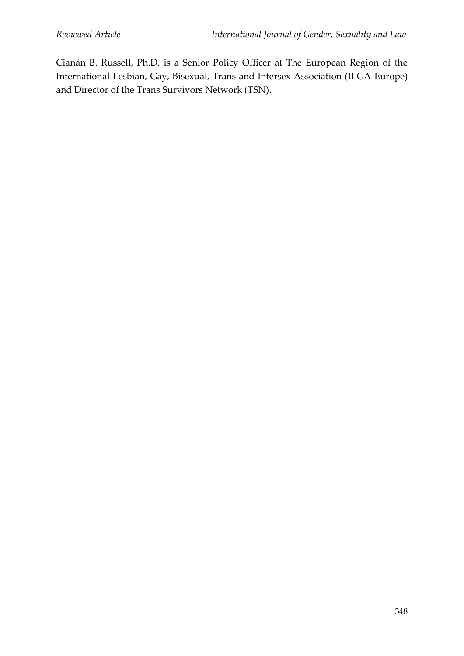Cianán B. Russell, Ph.D. is a Senior Policy Officer at The European Region of the International Lesbian, Gay, Bisexual, Trans and Intersex Association (ILGA-Europe) and Director of the Trans Survivors Network (TSN).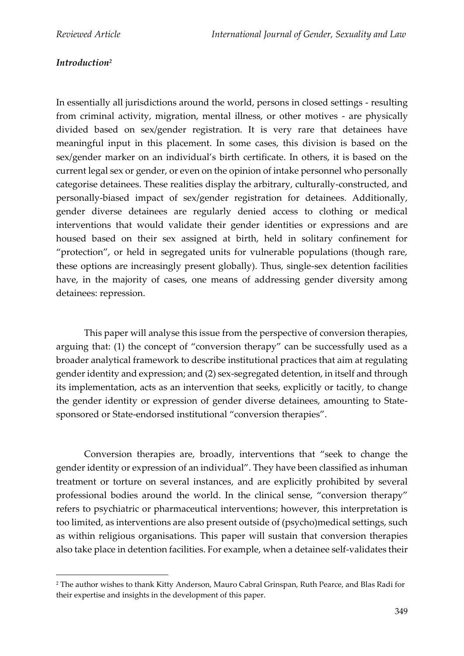# *Introduction<sup>2</sup>*

In essentially all jurisdictions around the world, persons in closed settings - resulting from criminal activity, migration, mental illness, or other motives - are physically divided based on sex/gender registration. It is very rare that detainees have meaningful input in this placement. In some cases, this division is based on the sex/gender marker on an individual's birth certificate. In others, it is based on the current legal sex or gender, or even on the opinion of intake personnel who personally categorise detainees. These realities display the arbitrary, culturally-constructed, and personally-biased impact of sex/gender registration for detainees. Additionally, gender diverse detainees are regularly denied access to clothing or medical interventions that would validate their gender identities or expressions and are housed based on their sex assigned at birth, held in solitary confinement for "protection", or held in segregated units for vulnerable populations (though rare, these options are increasingly present globally). Thus, single-sex detention facilities have, in the majority of cases, one means of addressing gender diversity among detainees: repression.

This paper will analyse this issue from the perspective of conversion therapies, arguing that: (1) the concept of "conversion therapy" can be successfully used as a broader analytical framework to describe institutional practices that aim at regulating gender identity and expression; and (2) sex-segregated detention, in itself and through its implementation, acts as an intervention that seeks, explicitly or tacitly, to change the gender identity or expression of gender diverse detainees, amounting to Statesponsored or State-endorsed institutional "conversion therapies".

Conversion therapies are, broadly, interventions that "seek to change the gender identity or expression of an individual". They have been classified as inhuman treatment or torture on several instances, and are explicitly prohibited by several professional bodies around the world. In the clinical sense, "conversion therapy" refers to psychiatric or pharmaceutical interventions; however, this interpretation is too limited, as interventions are also present outside of (psycho)medical settings, such as within religious organisations. This paper will sustain that conversion therapies also take place in detention facilities. For example, when a detainee self-validates their

<sup>2</sup> The author wishes to thank Kitty Anderson, Mauro Cabral Grinspan, Ruth Pearce, and Blas Radi for their expertise and insights in the development of this paper.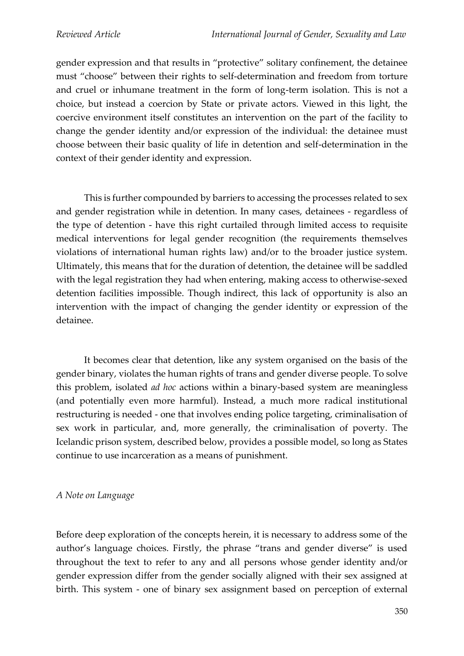gender expression and that results in "protective" solitary confinement, the detainee must "choose" between their rights to self-determination and freedom from torture and cruel or inhumane treatment in the form of long-term isolation. This is not a choice, but instead a coercion by State or private actors. Viewed in this light, the coercive environment itself constitutes an intervention on the part of the facility to change the gender identity and/or expression of the individual: the detainee must choose between their basic quality of life in detention and self-determination in the context of their gender identity and expression.

This is further compounded by barriers to accessing the processes related to sex and gender registration while in detention. In many cases, detainees - regardless of the type of detention - have this right curtailed through limited access to requisite medical interventions for legal gender recognition (the requirements themselves violations of international human rights law) and/or to the broader justice system. Ultimately, this means that for the duration of detention, the detainee will be saddled with the legal registration they had when entering, making access to otherwise-sexed detention facilities impossible. Though indirect, this lack of opportunity is also an intervention with the impact of changing the gender identity or expression of the detainee.

It becomes clear that detention, like any system organised on the basis of the gender binary, violates the human rights of trans and gender diverse people. To solve this problem, isolated *ad hoc* actions within a binary-based system are meaningless (and potentially even more harmful). Instead, a much more radical institutional restructuring is needed - one that involves ending police targeting, criminalisation of sex work in particular, and, more generally, the criminalisation of poverty. The Icelandic prison system, described below, provides a possible model, so long as States continue to use incarceration as a means of punishment.

#### *A Note on Language*

Before deep exploration of the concepts herein, it is necessary to address some of the author's language choices. Firstly, the phrase "trans and gender diverse" is used throughout the text to refer to any and all persons whose gender identity and/or gender expression differ from the gender socially aligned with their sex assigned at birth. This system - one of binary sex assignment based on perception of external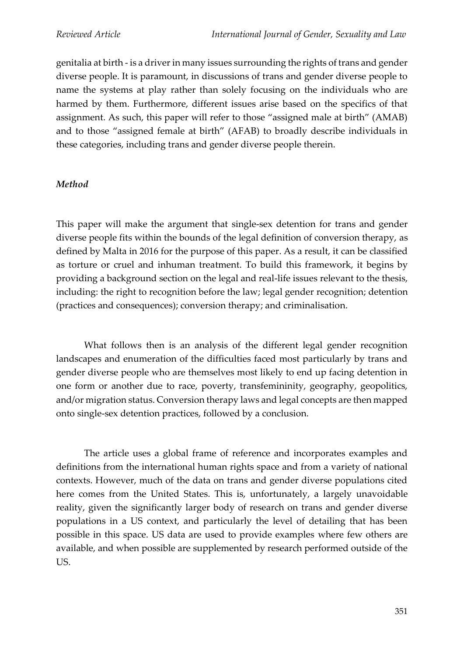genitalia at birth - is a driver in many issues surrounding the rights of trans and gender diverse people. It is paramount, in discussions of trans and gender diverse people to name the systems at play rather than solely focusing on the individuals who are harmed by them. Furthermore, different issues arise based on the specifics of that assignment. As such, this paper will refer to those "assigned male at birth" (AMAB) and to those "assigned female at birth" (AFAB) to broadly describe individuals in these categories, including trans and gender diverse people therein.

### *Method*

This paper will make the argument that single-sex detention for trans and gender diverse people fits within the bounds of the legal definition of conversion therapy, as defined by Malta in 2016 for the purpose of this paper. As a result, it can be classified as torture or cruel and inhuman treatment. To build this framework, it begins by providing a background section on the legal and real-life issues relevant to the thesis, including: the right to recognition before the law; legal gender recognition; detention (practices and consequences); conversion therapy; and criminalisation.

What follows then is an analysis of the different legal gender recognition landscapes and enumeration of the difficulties faced most particularly by trans and gender diverse people who are themselves most likely to end up facing detention in one form or another due to race, poverty, transfemininity, geography, geopolitics, and/or migration status. Conversion therapy laws and legal concepts are then mapped onto single-sex detention practices, followed by a conclusion.

The article uses a global frame of reference and incorporates examples and definitions from the international human rights space and from a variety of national contexts. However, much of the data on trans and gender diverse populations cited here comes from the United States. This is, unfortunately, a largely unavoidable reality, given the significantly larger body of research on trans and gender diverse populations in a US context, and particularly the level of detailing that has been possible in this space. US data are used to provide examples where few others are available, and when possible are supplemented by research performed outside of the US.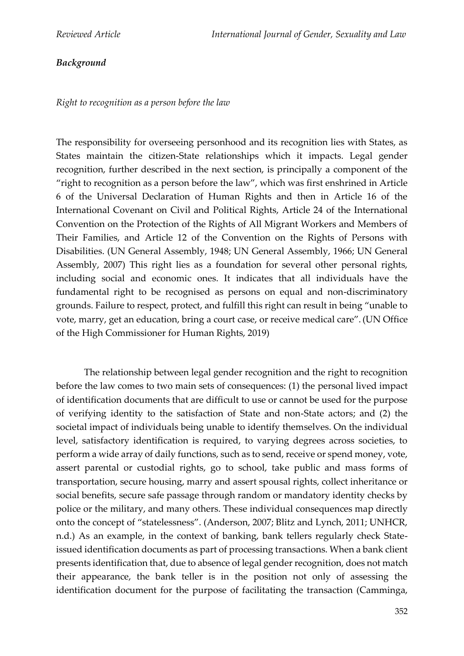# *Background*

*Right to recognition as a person before the law*

The responsibility for overseeing personhood and its recognition lies with States, as States maintain the citizen-State relationships which it impacts. Legal gender recognition, further described in the next section, is principally a component of the "right to recognition as a person before the law", which was first enshrined in Article 6 of the Universal Declaration of Human Rights and then in Article 16 of the International Covenant on Civil and Political Rights, Article 24 of the International Convention on the Protection of the Rights of All Migrant Workers and Members of Their Families, and Article 12 of the Convention on the Rights of Persons with Disabilities. (UN General Assembly, 1948; UN General Assembly, 1966; UN General Assembly, 2007) This right lies as a foundation for several other personal rights, including social and economic ones. It indicates that all individuals have the fundamental right to be recognised as persons on equal and non-discriminatory grounds. Failure to respect, protect, and fulfill this right can result in being "unable to vote, marry, get an education, bring a court case, or receive medical care".(UN Office of the High Commissioner for Human Rights, 2019)

The relationship between legal gender recognition and the right to recognition before the law comes to two main sets of consequences: (1) the personal lived impact of identification documents that are difficult to use or cannot be used for the purpose of verifying identity to the satisfaction of State and non-State actors; and (2) the societal impact of individuals being unable to identify themselves. On the individual level, satisfactory identification is required, to varying degrees across societies, to perform a wide array of daily functions, such as to send, receive or spend money, vote, assert parental or custodial rights, go to school, take public and mass forms of transportation, secure housing, marry and assert spousal rights, collect inheritance or social benefits, secure safe passage through random or mandatory identity checks by police or the military, and many others. These individual consequences map directly onto the concept of "statelessness". (Anderson, 2007; Blitz and Lynch, 2011; UNHCR, n.d.) As an example, in the context of banking, bank tellers regularly check Stateissued identification documents as part of processing transactions. When a bank client presents identification that, due to absence of legal gender recognition, does not match their appearance, the bank teller is in the position not only of assessing the identification document for the purpose of facilitating the transaction (Camminga,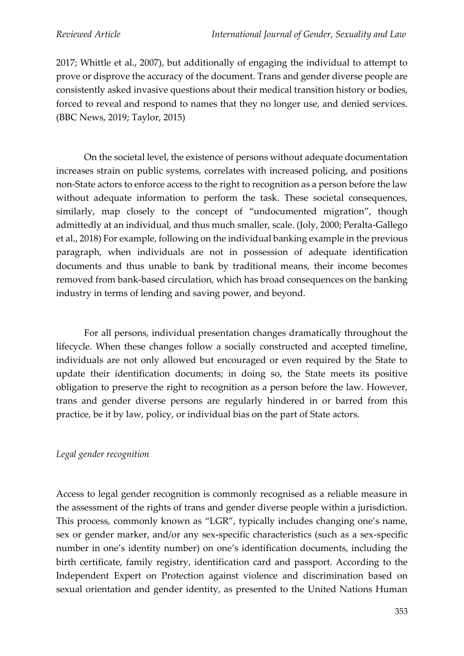2017; Whittle et al., 2007), but additionally of engaging the individual to attempt to prove or disprove the accuracy of the document. Trans and gender diverse people are consistently asked invasive questions about their medical transition history or bodies, forced to reveal and respond to names that they no longer use, and denied services. (BBC News, 2019; Taylor, 2015)

On the societal level, the existence of persons without adequate documentation increases strain on public systems, correlates with increased policing, and positions non-State actors to enforce access to the right to recognition as a person before the law without adequate information to perform the task. These societal consequences, similarly, map closely to the concept of "undocumented migration", though admittedly at an individual, and thus much smaller, scale. (Joly, 2000; Peralta-Gallego et al., 2018) For example, following on the individual banking example in the previous paragraph, when individuals are not in possession of adequate identification documents and thus unable to bank by traditional means, their income becomes removed from bank-based circulation, which has broad consequences on the banking industry in terms of lending and saving power, and beyond.

For all persons, individual presentation changes dramatically throughout the lifecycle. When these changes follow a socially constructed and accepted timeline, individuals are not only allowed but encouraged or even required by the State to update their identification documents; in doing so, the State meets its positive obligation to preserve the right to recognition as a person before the law. However, trans and gender diverse persons are regularly hindered in or barred from this practice, be it by law, policy, or individual bias on the part of State actors.

## *Legal gender recognition*

Access to legal gender recognition is commonly recognised as a reliable measure in the assessment of the rights of trans and gender diverse people within a jurisdiction. This process, commonly known as "LGR", typically includes changing one's name, sex or gender marker, and/or any sex-specific characteristics (such as a sex-specific number in one's identity number) on one's identification documents, including the birth certificate, family registry, identification card and passport. According to the Independent Expert on Protection against violence and discrimination based on sexual orientation and gender identity, as presented to the United Nations Human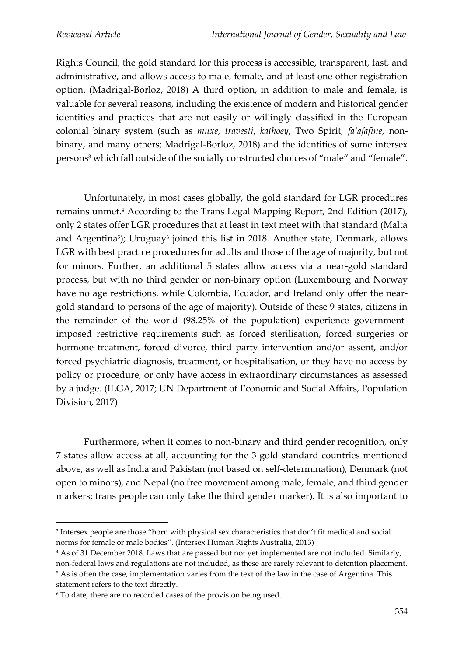Rights Council, the gold standard for this process is accessible, transparent, fast, and administrative, and allows access to male, female, and at least one other registration option. (Madrigal-Borloz, 2018) A third option, in addition to male and female, is valuable for several reasons, including the existence of modern and historical gender identities and practices that are not easily or willingly classified in the European colonial binary system (such as *muxe*, *travesti*, *kathoey*, Two Spirit, *fa'afafine*, nonbinary, and many others; Madrigal-Borloz, 2018) and the identities of some intersex persons<sup>3</sup> which fall outside of the socially constructed choices of "male" and "female".

Unfortunately, in most cases globally, the gold standard for LGR procedures remains unmet.<sup>4</sup> According to the Trans Legal Mapping Report, 2nd Edition (2017), only 2 states offer LGR procedures that at least in text meet with that standard (Malta and Argentina<sup>5</sup>); Uruguay<sup>6</sup> joined this list in 2018. Another state, Denmark, allows LGR with best practice procedures for adults and those of the age of majority, but not for minors. Further, an additional 5 states allow access via a near-gold standard process, but with no third gender or non-binary option (Luxembourg and Norway have no age restrictions, while Colombia, Ecuador, and Ireland only offer the neargold standard to persons of the age of majority). Outside of these 9 states, citizens in the remainder of the world (98.25% of the population) experience governmentimposed restrictive requirements such as forced sterilisation, forced surgeries or hormone treatment, forced divorce, third party intervention and/or assent, and/or forced psychiatric diagnosis, treatment, or hospitalisation, or they have no access by policy or procedure, or only have access in extraordinary circumstances as assessed by a judge. (ILGA, 2017; UN Department of Economic and Social Affairs, Population Division, 2017)

Furthermore, when it comes to non-binary and third gender recognition, only 7 states allow access at all, accounting for the 3 gold standard countries mentioned above, as well as India and Pakistan (not based on self-determination), Denmark (not open to minors), and Nepal (no free movement among male, female, and third gender markers; trans people can only take the third gender marker). It is also important to

non-federal laws and regulations are not included, as these are rarely relevant to detention placement. <sup>5</sup> As is often the case, implementation varies from the text of the law in the case of Argentina. This statement refers to the text directly.

<sup>3</sup> Intersex people are those "born with physical sex characteristics that don't fit medical and social norms for female or male bodies". (Intersex Human Rights Australia, 2013)

<sup>4</sup> As of 31 December 2018. Laws that are passed but not yet implemented are not included. Similarly,

<sup>6</sup> To date, there are no recorded cases of the provision being used.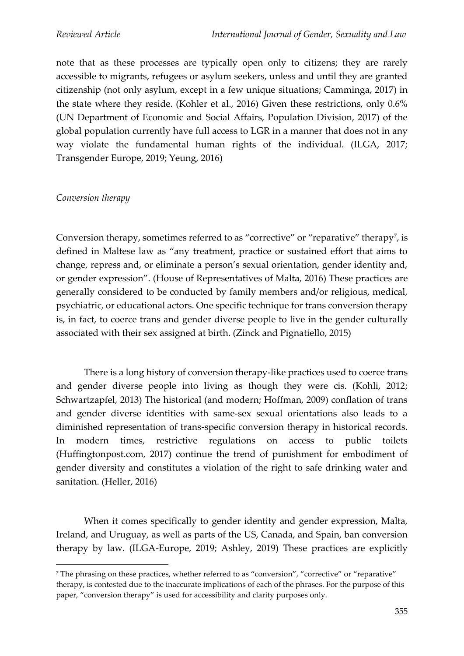note that as these processes are typically open only to citizens; they are rarely accessible to migrants, refugees or asylum seekers, unless and until they are granted citizenship (not only asylum, except in a few unique situations; Camminga, 2017) in the state where they reside. (Kohler et al., 2016) Given these restrictions, only 0.6% (UN Department of Economic and Social Affairs, Population Division, 2017) of the global population currently have full access to LGR in a manner that does not in any way violate the fundamental human rights of the individual. (ILGA, 2017; Transgender Europe, 2019; Yeung, 2016)

#### *Conversion therapy*

Conversion therapy, sometimes referred to as "corrective" or "reparative" therapy<sup>7</sup>, is defined in Maltese law as "any treatment, practice or sustained effort that aims to change, repress and, or eliminate a person's sexual orientation, gender identity and, or gender expression". (House of Representatives of Malta, 2016) These practices are generally considered to be conducted by family members and/or religious, medical, psychiatric, or educational actors. One specific technique for trans conversion therapy is, in fact, to coerce trans and gender diverse people to live in the gender culturally associated with their sex assigned at birth. (Zinck and Pignatiello, 2015)

There is a long history of conversion therapy-like practices used to coerce trans and gender diverse people into living as though they were cis. (Kohli, 2012; Schwartzapfel, 2013) The historical (and modern; Hoffman, 2009) conflation of trans and gender diverse identities with same-sex sexual orientations also leads to a diminished representation of trans-specific conversion therapy in historical records. In modern times, restrictive regulations on access to public toilets (Huffingtonpost.com, 2017) continue the trend of punishment for embodiment of gender diversity and constitutes a violation of the right to safe drinking water and sanitation. (Heller, 2016)

When it comes specifically to gender identity and gender expression, Malta, Ireland, and Uruguay, as well as parts of the US, Canada, and Spain, ban conversion therapy by law. (ILGA-Europe, 2019; Ashley, 2019) These practices are explicitly

<sup>7</sup> The phrasing on these practices, whether referred to as "conversion", "corrective" or "reparative" therapy, is contested due to the inaccurate implications of each of the phrases. For the purpose of this paper, "conversion therapy" is used for accessibility and clarity purposes only.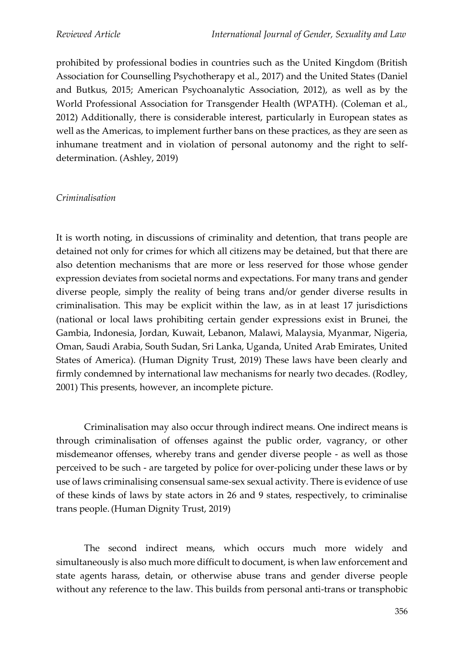prohibited by professional bodies in countries such as the United Kingdom (British Association for Counselling Psychotherapy et al., 2017) and the United States (Daniel and Butkus, 2015; American Psychoanalytic Association, 2012), as well as by the World Professional Association for Transgender Health (WPATH). (Coleman et al., 2012) Additionally, there is considerable interest, particularly in European states as well as the Americas, to implement further bans on these practices, as they are seen as inhumane treatment and in violation of personal autonomy and the right to selfdetermination. (Ashley, 2019)

#### *Criminalisation*

It is worth noting, in discussions of criminality and detention, that trans people are detained not only for crimes for which all citizens may be detained, but that there are also detention mechanisms that are more or less reserved for those whose gender expression deviates from societal norms and expectations. For many trans and gender diverse people, simply the reality of being trans and/or gender diverse results in criminalisation. This may be explicit within the law, as in at least 17 jurisdictions (national or local laws prohibiting certain gender expressions exist in Brunei, the Gambia, Indonesia, Jordan, Kuwait, Lebanon, Malawi, Malaysia, Myanmar, Nigeria, Oman, Saudi Arabia, South Sudan, Sri Lanka, Uganda, United Arab Emirates, United States of America). (Human Dignity Trust, 2019) These laws have been clearly and firmly condemned by international law mechanisms for nearly two decades. (Rodley, 2001) This presents, however, an incomplete picture.

Criminalisation may also occur through indirect means. One indirect means is through criminalisation of offenses against the public order, vagrancy, or other misdemeanor offenses, whereby trans and gender diverse people - as well as those perceived to be such - are targeted by police for over-policing under these laws or by use of laws criminalising consensual same-sex sexual activity. There is evidence of use of these kinds of laws by state actors in 26 and 9 states, respectively, to criminalise trans people.(Human Dignity Trust, 2019)

The second indirect means, which occurs much more widely and simultaneously is also much more difficult to document, is when law enforcement and state agents harass, detain, or otherwise abuse trans and gender diverse people without any reference to the law. This builds from personal anti-trans or transphobic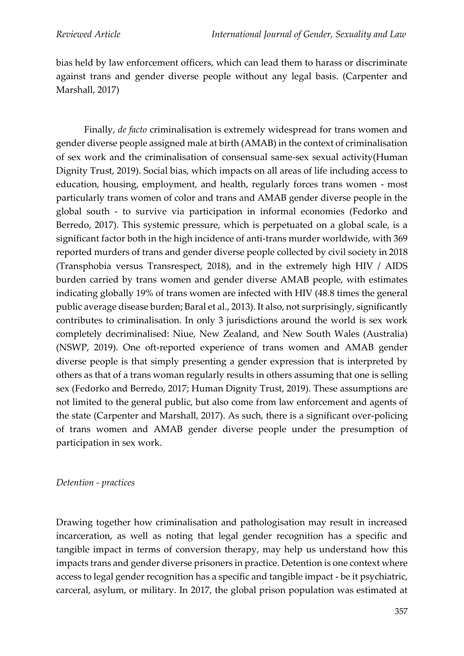bias held by law enforcement officers, which can lead them to harass or discriminate against trans and gender diverse people without any legal basis. (Carpenter and Marshall, 2017)

Finally, *de facto* criminalisation is extremely widespread for trans women and gender diverse people assigned male at birth (AMAB) in the context of criminalisation of sex work and the criminalisation of consensual same-sex sexual activity(Human Dignity Trust, 2019). Social bias, which impacts on all areas of life including access to education, housing, employment, and health, regularly forces trans women - most particularly trans women of color and trans and AMAB gender diverse people in the global south - to survive via participation in informal economies (Fedorko and Berredo, 2017). This systemic pressure, which is perpetuated on a global scale, is a significant factor both in the high incidence of anti-trans murder worldwide, with 369 reported murders of trans and gender diverse people collected by civil society in 2018 (Transphobia versus Transrespect, 2018), and in the extremely high HIV / AIDS burden carried by trans women and gender diverse AMAB people, with estimates indicating globally 19% of trans women are infected with HIV (48.8 times the general public average disease burden; Baral et al., 2013). It also, not surprisingly, significantly contributes to criminalisation. In only 3 jurisdictions around the world is sex work completely decriminalised: Niue, New Zealand, and New South Wales (Australia) (NSWP, 2019). One oft-reported experience of trans women and AMAB gender diverse people is that simply presenting a gender expression that is interpreted by others as that of a trans woman regularly results in others assuming that one is selling sex (Fedorko and Berredo, 2017; Human Dignity Trust, 2019). These assumptions are not limited to the general public, but also come from law enforcement and agents of the state (Carpenter and Marshall, 2017). As such, there is a significant over-policing of trans women and AMAB gender diverse people under the presumption of participation in sex work.

#### *Detention - practices*

Drawing together how criminalisation and pathologisation may result in increased incarceration, as well as noting that legal gender recognition has a specific and tangible impact in terms of conversion therapy, may help us understand how this impacts trans and gender diverse prisoners in practice. Detention is one context where access to legal gender recognition has a specific and tangible impact - be it psychiatric, carceral, asylum, or military. In 2017, the global prison population was estimated at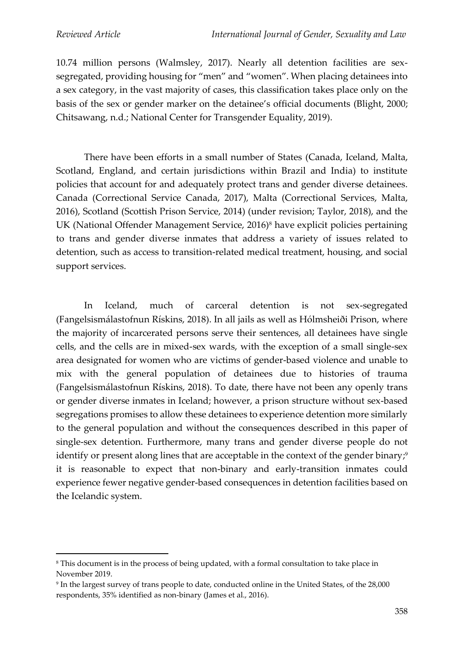10.74 million persons (Walmsley, 2017). Nearly all detention facilities are sexsegregated, providing housing for "men" and "women". When placing detainees into a sex category, in the vast majority of cases, this classification takes place only on the basis of the sex or gender marker on the detainee's official documents (Blight, 2000; Chitsawang, n.d.; National Center for Transgender Equality, 2019).

There have been efforts in a small number of States (Canada, Iceland, Malta, Scotland, England, and certain jurisdictions within Brazil and India) to institute policies that account for and adequately protect trans and gender diverse detainees. Canada (Correctional Service Canada, 2017), Malta (Correctional Services, Malta, 2016), Scotland (Scottish Prison Service, 2014) (under revision; Taylor, 2018), and the UK (National Offender Management Service, 2016)<sup>8</sup> have explicit policies pertaining to trans and gender diverse inmates that address a variety of issues related to detention, such as access to transition-related medical treatment, housing, and social support services.

In Iceland, much of carceral detention is not sex-segregated (Fangelsismálastofnun Rískins, 2018). In all jails as well as Hólmsheiði Prison, where the majority of incarcerated persons serve their sentences, all detainees have single cells, and the cells are in mixed-sex wards, with the exception of a small single-sex area designated for women who are victims of gender-based violence and unable to mix with the general population of detainees due to histories of trauma (Fangelsismálastofnun Rískins, 2018). To date, there have not been any openly trans or gender diverse inmates in Iceland; however, a prison structure without sex-based segregations promises to allow these detainees to experience detention more similarly to the general population and without the consequences described in this paper of single-sex detention. Furthermore, many trans and gender diverse people do not identify or present along lines that are acceptable in the context of the gender binary; $\degree$ it is reasonable to expect that non-binary and early-transition inmates could experience fewer negative gender-based consequences in detention facilities based on the Icelandic system.

<sup>&</sup>lt;sup>8</sup> This document is in the process of being updated, with a formal consultation to take place in November 2019.

<sup>9</sup> In the largest survey of trans people to date, conducted online in the United States, of the 28,000 respondents, 35% identified as non-binary (James et al., 2016).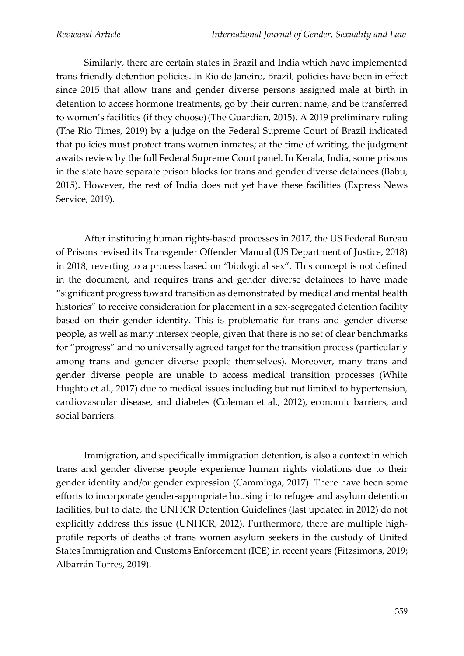Similarly, there are certain states in Brazil and India which have implemented trans-friendly detention policies. In Rio de Janeiro, Brazil, policies have been in effect since 2015 that allow trans and gender diverse persons assigned male at birth in detention to access hormone treatments, go by their current name, and be transferred to women's facilities (if they choose)(The Guardian, 2015). A 2019 preliminary ruling (The Rio Times, 2019) by a judge on the Federal Supreme Court of Brazil indicated that policies must protect trans women inmates; at the time of writing, the judgment awaits review by the full Federal Supreme Court panel. In Kerala, India, some prisons in the state have separate prison blocks for trans and gender diverse detainees (Babu, 2015). However, the rest of India does not yet have these facilities (Express News Service, 2019).

After instituting human rights-based processes in 2017, the US Federal Bureau of Prisons revised its Transgender Offender Manual (US Department of Justice, 2018) in 2018, reverting to a process based on "biological sex". This concept is not defined in the document, and requires trans and gender diverse detainees to have made "significant progress toward transition as demonstrated by medical and mental health histories" to receive consideration for placement in a sex-segregated detention facility based on their gender identity. This is problematic for trans and gender diverse people, as well as many intersex people, given that there is no set of clear benchmarks for "progress" and no universally agreed target for the transition process (particularly among trans and gender diverse people themselves). Moreover, many trans and gender diverse people are unable to access medical transition processes (White Hughto et al., 2017) due to medical issues including but not limited to hypertension, cardiovascular disease, and diabetes (Coleman et al., 2012), economic barriers, and social barriers.

Immigration, and specifically immigration detention, is also a context in which trans and gender diverse people experience human rights violations due to their gender identity and/or gender expression (Camminga, 2017). There have been some efforts to incorporate gender-appropriate housing into refugee and asylum detention facilities, but to date, the UNHCR Detention Guidelines (last updated in 2012) do not explicitly address this issue (UNHCR, 2012). Furthermore, there are multiple highprofile reports of deaths of trans women asylum seekers in the custody of United States Immigration and Customs Enforcement (ICE) in recent years (Fitzsimons, 2019; Albarrán Torres, 2019).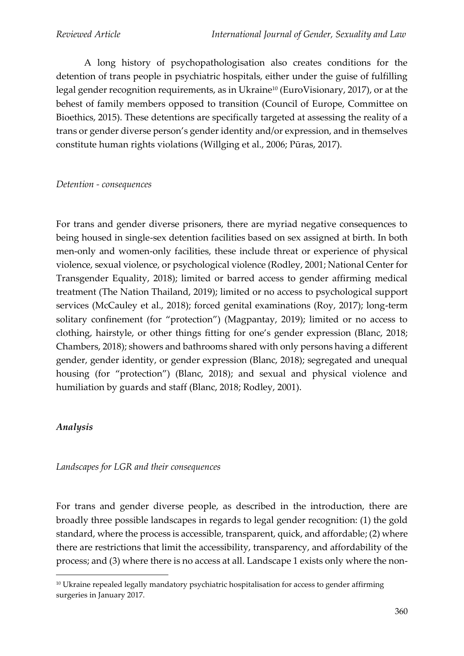A long history of psychopathologisation also creates conditions for the detention of trans people in psychiatric hospitals, either under the guise of fulfilling legal gender recognition requirements, as in Ukraine<sup>10</sup> (EuroVisionary, 2017), or at the behest of family members opposed to transition (Council of Europe, Committee on Bioethics, 2015). These detentions are specifically targeted at assessing the reality of a trans or gender diverse person's gender identity and/or expression, and in themselves constitute human rights violations (Willging et al., 2006; Pūras, 2017).

### *Detention - consequences*

For trans and gender diverse prisoners, there are myriad negative consequences to being housed in single-sex detention facilities based on sex assigned at birth. In both men-only and women-only facilities, these include threat or experience of physical violence, sexual violence, or psychological violence (Rodley, 2001; National Center for Transgender Equality, 2018); limited or barred access to gender affirming medical treatment (The Nation Thailand, 2019); limited or no access to psychological support services (McCauley et al., 2018); forced genital examinations (Roy, 2017); long-term solitary confinement (for "protection") (Magpantay, 2019); limited or no access to clothing, hairstyle, or other things fitting for one's gender expression (Blanc, 2018; Chambers, 2018); showers and bathrooms shared with only persons having a different gender, gender identity, or gender expression (Blanc, 2018); segregated and unequal housing (for "protection") (Blanc, 2018); and sexual and physical violence and humiliation by guards and staff (Blanc, 2018; Rodley, 2001).

## *Analysis*

## *Landscapes for LGR and their consequences*

For trans and gender diverse people, as described in the introduction, there are broadly three possible landscapes in regards to legal gender recognition: (1) the gold standard, where the process is accessible, transparent, quick, and affordable; (2) where there are restrictions that limit the accessibility, transparency, and affordability of the process; and (3) where there is no access at all. Landscape 1 exists only where the non-

<sup>&</sup>lt;sup>10</sup> Ukraine repealed legally mandatory psychiatric hospitalisation for access to gender affirming surgeries in January 2017.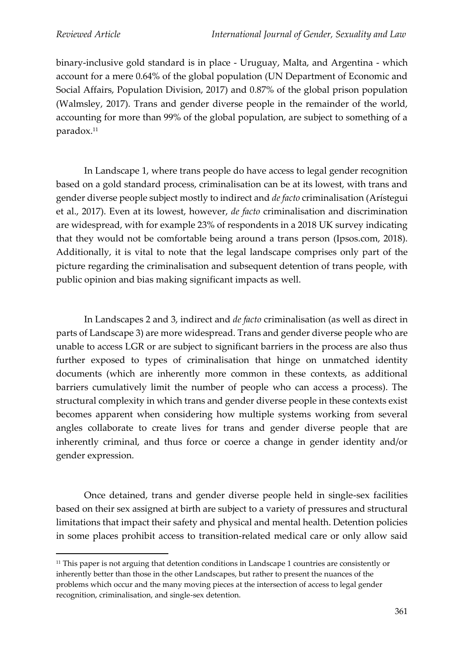binary-inclusive gold standard is in place - Uruguay, Malta, and Argentina - which account for a mere 0.64% of the global population (UN Department of Economic and Social Affairs, Population Division, 2017) and 0.87% of the global prison population (Walmsley, 2017). Trans and gender diverse people in the remainder of the world, accounting for more than 99% of the global population, are subject to something of a paradox.<sup>11</sup>

In Landscape 1, where trans people do have access to legal gender recognition based on a gold standard process, criminalisation can be at its lowest, with trans and gender diverse people subject mostly to indirect and *de facto* criminalisation (Arístegui et al., 2017). Even at its lowest, however, *de facto* criminalisation and discrimination are widespread, with for example 23% of respondents in a 2018 UK survey indicating that they would not be comfortable being around a trans person (Ipsos.com, 2018). Additionally, it is vital to note that the legal landscape comprises only part of the picture regarding the criminalisation and subsequent detention of trans people, with public opinion and bias making significant impacts as well.

In Landscapes 2 and 3, indirect and *de facto* criminalisation (as well as direct in parts of Landscape 3) are more widespread. Trans and gender diverse people who are unable to access LGR or are subject to significant barriers in the process are also thus further exposed to types of criminalisation that hinge on unmatched identity documents (which are inherently more common in these contexts, as additional barriers cumulatively limit the number of people who can access a process). The structural complexity in which trans and gender diverse people in these contexts exist becomes apparent when considering how multiple systems working from several angles collaborate to create lives for trans and gender diverse people that are inherently criminal, and thus force or coerce a change in gender identity and/or gender expression.

Once detained, trans and gender diverse people held in single-sex facilities based on their sex assigned at birth are subject to a variety of pressures and structural limitations that impact their safety and physical and mental health. Detention policies in some places prohibit access to transition-related medical care or only allow said

<sup>&</sup>lt;sup>11</sup> This paper is not arguing that detention conditions in Landscape 1 countries are consistently or inherently better than those in the other Landscapes, but rather to present the nuances of the problems which occur and the many moving pieces at the intersection of access to legal gender recognition, criminalisation, and single-sex detention.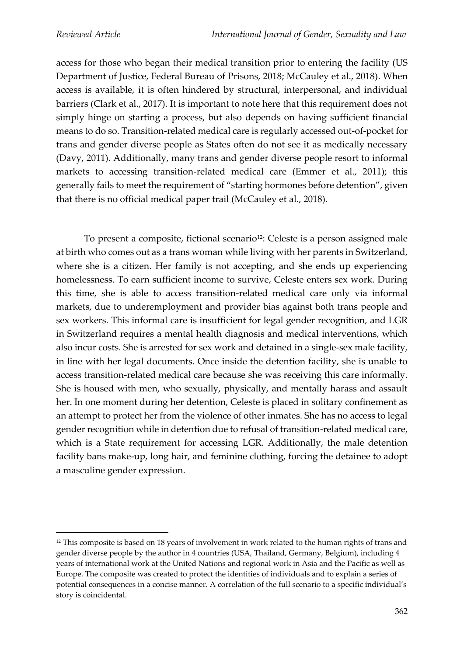access for those who began their medical transition prior to entering the facility (US Department of Justice, Federal Bureau of Prisons, 2018; McCauley et al., 2018). When access is available, it is often hindered by structural, interpersonal, and individual barriers (Clark et al., 2017). It is important to note here that this requirement does not simply hinge on starting a process, but also depends on having sufficient financial means to do so. Transition-related medical care is regularly accessed out-of-pocket for trans and gender diverse people as States often do not see it as medically necessary (Davy, 2011). Additionally, many trans and gender diverse people resort to informal markets to accessing transition-related medical care (Emmer et al., 2011); this generally fails to meet the requirement of "starting hormones before detention", given that there is no official medical paper trail (McCauley et al., 2018).

To present a composite, fictional scenario<sup>12</sup>: Celeste is a person assigned male at birth who comes out as a trans woman while living with her parents in Switzerland, where she is a citizen. Her family is not accepting, and she ends up experiencing homelessness. To earn sufficient income to survive, Celeste enters sex work. During this time, she is able to access transition-related medical care only via informal markets, due to underemployment and provider bias against both trans people and sex workers. This informal care is insufficient for legal gender recognition, and LGR in Switzerland requires a mental health diagnosis and medical interventions, which also incur costs. She is arrested for sex work and detained in a single-sex male facility, in line with her legal documents. Once inside the detention facility, she is unable to access transition-related medical care because she was receiving this care informally. She is housed with men, who sexually, physically, and mentally harass and assault her. In one moment during her detention, Celeste is placed in solitary confinement as an attempt to protect her from the violence of other inmates. She has no access to legal gender recognition while in detention due to refusal of transition-related medical care, which is a State requirement for accessing LGR. Additionally, the male detention facility bans make-up, long hair, and feminine clothing, forcing the detainee to adopt a masculine gender expression.

<sup>&</sup>lt;sup>12</sup> This composite is based on 18 years of involvement in work related to the human rights of trans and gender diverse people by the author in 4 countries (USA, Thailand, Germany, Belgium), including 4 years of international work at the United Nations and regional work in Asia and the Pacific as well as Europe. The composite was created to protect the identities of individuals and to explain a series of potential consequences in a concise manner. A correlation of the full scenario to a specific individual's story is coincidental.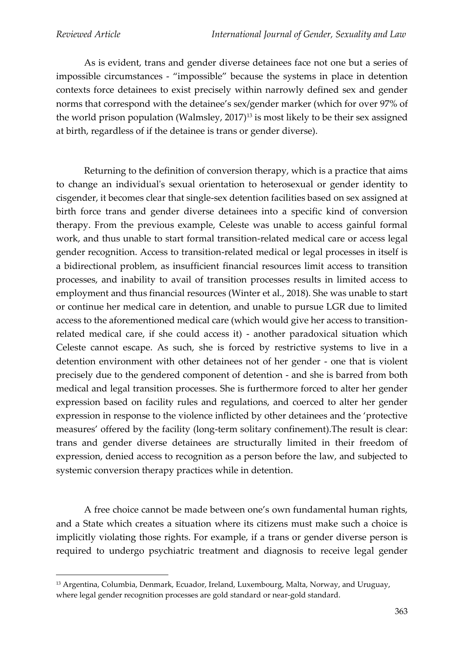As is evident, trans and gender diverse detainees face not one but a series of impossible circumstances - "impossible" because the systems in place in detention contexts force detainees to exist precisely within narrowly defined sex and gender norms that correspond with the detainee's sex/gender marker (which for over 97% of the world prison population (Walmsley, 2017)<sup>13</sup> is most likely to be their sex assigned at birth, regardless of if the detainee is trans or gender diverse).

Returning to the definition of conversion therapy, which is a practice that aims to change an individual's sexual orientation to heterosexual or gender identity to cisgender, it becomes clear that single-sex detention facilities based on sex assigned at birth force trans and gender diverse detainees into a specific kind of conversion therapy. From the previous example, Celeste was unable to access gainful formal work, and thus unable to start formal transition-related medical care or access legal gender recognition. Access to transition-related medical or legal processes in itself is a bidirectional problem, as insufficient financial resources limit access to transition processes, and inability to avail of transition processes results in limited access to employment and thus financial resources (Winter et al., 2018). She was unable to start or continue her medical care in detention, and unable to pursue LGR due to limited access to the aforementioned medical care (which would give her access to transitionrelated medical care, if she could access it) - another paradoxical situation which Celeste cannot escape. As such, she is forced by restrictive systems to live in a detention environment with other detainees not of her gender - one that is violent precisely due to the gendered component of detention - and she is barred from both medical and legal transition processes. She is furthermore forced to alter her gender expression based on facility rules and regulations, and coerced to alter her gender expression in response to the violence inflicted by other detainees and the 'protective measures' offered by the facility (long-term solitary confinement).The result is clear: trans and gender diverse detainees are structurally limited in their freedom of expression, denied access to recognition as a person before the law, and subjected to systemic conversion therapy practices while in detention.

A free choice cannot be made between one's own fundamental human rights, and a State which creates a situation where its citizens must make such a choice is implicitly violating those rights. For example, if a trans or gender diverse person is required to undergo psychiatric treatment and diagnosis to receive legal gender

<sup>13</sup> Argentina, Columbia, Denmark, Ecuador, Ireland, Luxembourg, Malta, Norway, and Uruguay, where legal gender recognition processes are gold standard or near-gold standard.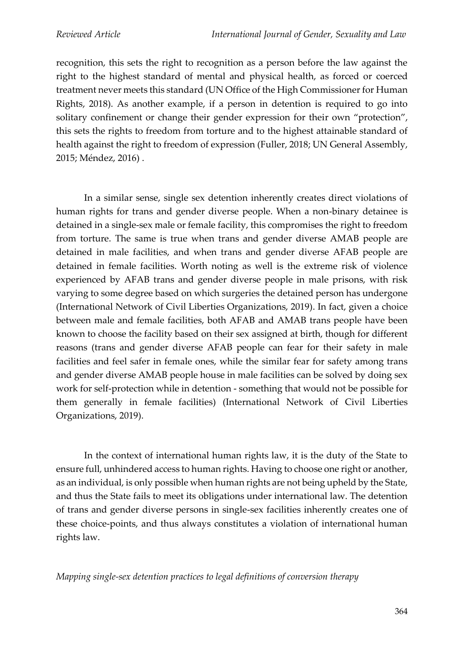recognition, this sets the right to recognition as a person before the law against the right to the highest standard of mental and physical health, as forced or coerced treatment never meets this standard (UN Office of the High Commissioner for Human Rights, 2018). As another example, if a person in detention is required to go into solitary confinement or change their gender expression for their own "protection", this sets the rights to freedom from torture and to the highest attainable standard of health against the right to freedom of expression (Fuller, 2018; UN General Assembly, 2015; Méndez, 2016) .

In a similar sense, single sex detention inherently creates direct violations of human rights for trans and gender diverse people. When a non-binary detainee is detained in a single-sex male or female facility, this compromises the right to freedom from torture. The same is true when trans and gender diverse AMAB people are detained in male facilities, and when trans and gender diverse AFAB people are detained in female facilities. Worth noting as well is the extreme risk of violence experienced by AFAB trans and gender diverse people in male prisons, with risk varying to some degree based on which surgeries the detained person has undergone (International Network of Civil Liberties Organizations, 2019). In fact, given a choice between male and female facilities, both AFAB and AMAB trans people have been known to choose the facility based on their sex assigned at birth, though for different reasons (trans and gender diverse AFAB people can fear for their safety in male facilities and feel safer in female ones, while the similar fear for safety among trans and gender diverse AMAB people house in male facilities can be solved by doing sex work for self-protection while in detention - something that would not be possible for them generally in female facilities) (International Network of Civil Liberties Organizations, 2019).

In the context of international human rights law, it is the duty of the State to ensure full, unhindered access to human rights. Having to choose one right or another, as an individual, is only possible when human rights are not being upheld by the State, and thus the State fails to meet its obligations under international law. The detention of trans and gender diverse persons in single-sex facilities inherently creates one of these choice-points, and thus always constitutes a violation of international human rights law.

*Mapping single-sex detention practices to legal definitions of conversion therapy*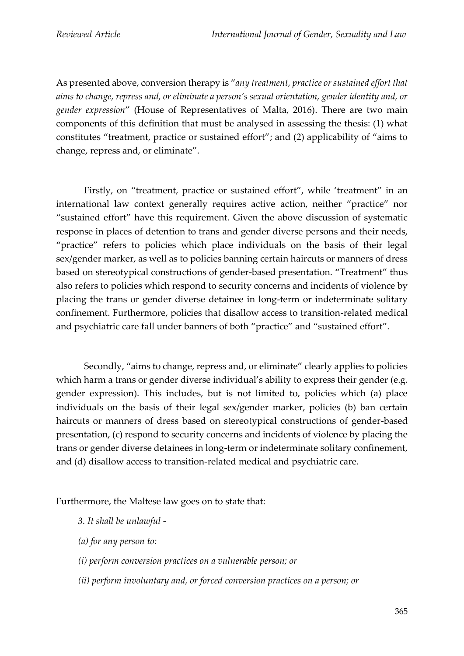As presented above, conversion therapy is "*any treatment, practice or sustained effort that aims to change, repress and, or eliminate a person's sexual orientation, gender identity and, or gender expression*" (House of Representatives of Malta, 2016). There are two main components of this definition that must be analysed in assessing the thesis: (1) what constitutes "treatment, practice or sustained effort"; and (2) applicability of "aims to change, repress and, or eliminate".

Firstly, on "treatment, practice or sustained effort", while 'treatment" in an international law context generally requires active action, neither "practice" nor "sustained effort" have this requirement. Given the above discussion of systematic response in places of detention to trans and gender diverse persons and their needs, "practice" refers to policies which place individuals on the basis of their legal sex/gender marker, as well as to policies banning certain haircuts or manners of dress based on stereotypical constructions of gender-based presentation. "Treatment" thus also refers to policies which respond to security concerns and incidents of violence by placing the trans or gender diverse detainee in long-term or indeterminate solitary confinement. Furthermore, policies that disallow access to transition-related medical and psychiatric care fall under banners of both "practice" and "sustained effort".

Secondly, "aims to change, repress and, or eliminate" clearly applies to policies which harm a trans or gender diverse individual's ability to express their gender (e.g. gender expression). This includes, but is not limited to, policies which (a) place individuals on the basis of their legal sex/gender marker, policies (b) ban certain haircuts or manners of dress based on stereotypical constructions of gender-based presentation, (c) respond to security concerns and incidents of violence by placing the trans or gender diverse detainees in long-term or indeterminate solitary confinement, and (d) disallow access to transition-related medical and psychiatric care.

Furthermore, the Maltese law goes on to state that:

- *3. It shall be unlawful -*
- *(a) for any person to:*
- *(i) perform conversion practices on a vulnerable person; or*
- *(ii) perform involuntary and, or forced conversion practices on a person; or*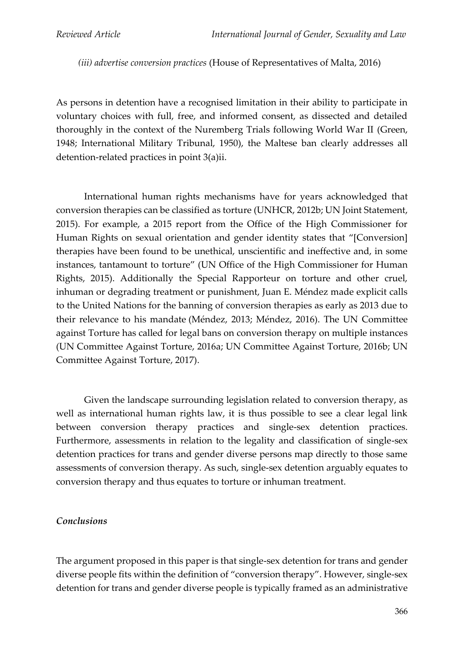*(iii) advertise conversion practices* (House of Representatives of Malta, 2016)

As persons in detention have a recognised limitation in their ability to participate in voluntary choices with full, free, and informed consent, as dissected and detailed thoroughly in the context of the Nuremberg Trials following World War II (Green, 1948; International Military Tribunal, 1950), the Maltese ban clearly addresses all detention-related practices in point 3(a)ii.

International human rights mechanisms have for years acknowledged that conversion therapies can be classified as torture (UNHCR, 2012b; UN Joint Statement, 2015). For example, a 2015 report from the Office of the High Commissioner for Human Rights on sexual orientation and gender identity states that "[Conversion] therapies have been found to be unethical, unscientific and ineffective and, in some instances, tantamount to torture" (UN Office of the High Commissioner for Human Rights, 2015). Additionally the Special Rapporteur on torture and other cruel, inhuman or degrading treatment or punishment, Juan E. Méndez made explicit calls to the United Nations for the banning of conversion therapies as early as 2013 due to their relevance to his mandate (Méndez, 2013; Méndez, 2016). The UN Committee against Torture has called for legal bans on conversion therapy on multiple instances (UN Committee Against Torture, 2016a; UN Committee Against Torture, 2016b; UN Committee Against Torture, 2017).

Given the landscape surrounding legislation related to conversion therapy, as well as international human rights law, it is thus possible to see a clear legal link between conversion therapy practices and single-sex detention practices. Furthermore, assessments in relation to the legality and classification of single-sex detention practices for trans and gender diverse persons map directly to those same assessments of conversion therapy. As such, single-sex detention arguably equates to conversion therapy and thus equates to torture or inhuman treatment.

#### *Conclusions*

The argument proposed in this paper is that single-sex detention for trans and gender diverse people fits within the definition of "conversion therapy". However, single-sex detention for trans and gender diverse people is typically framed as an administrative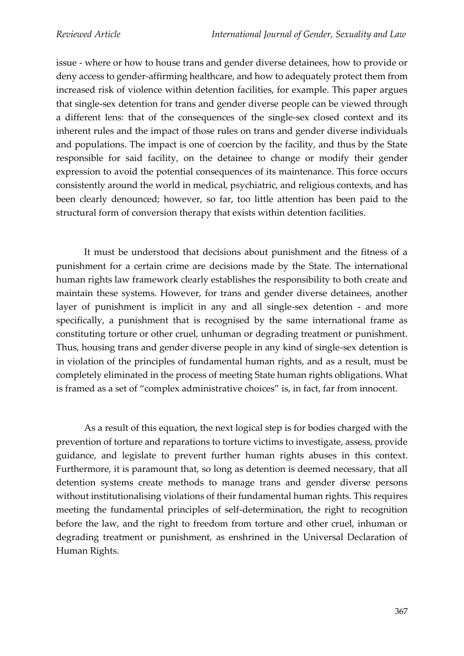issue - where or how to house trans and gender diverse detainees, how to provide or deny access to gender-affirming healthcare, and how to adequately protect them from increased risk of violence within detention facilities, for example. This paper argues that single-sex detention for trans and gender diverse people can be viewed through a different lens: that of the consequences of the single-sex closed context and its inherent rules and the impact of those rules on trans and gender diverse individuals and populations. The impact is one of coercion by the facility, and thus by the State responsible for said facility, on the detainee to change or modify their gender expression to avoid the potential consequences of its maintenance. This force occurs consistently around the world in medical, psychiatric, and religious contexts, and has been clearly denounced; however, so far, too little attention has been paid to the structural form of conversion therapy that exists within detention facilities.

It must be understood that decisions about punishment and the fitness of a punishment for a certain crime are decisions made by the State. The international human rights law framework clearly establishes the responsibility to both create and maintain these systems. However, for trans and gender diverse detainees, another layer of punishment is implicit in any and all single-sex detention - and more specifically, a punishment that is recognised by the same international frame as constituting torture or other cruel, unhuman or degrading treatment or punishment. Thus, housing trans and gender diverse people in any kind of single-sex detention is in violation of the principles of fundamental human rights, and as a result, must be completely eliminated in the process of meeting State human rights obligations. What is framed as a set of "complex administrative choices" is, in fact, far from innocent.

As a result of this equation, the next logical step is for bodies charged with the prevention of torture and reparations to torture victims to investigate, assess, provide guidance, and legislate to prevent further human rights abuses in this context. Furthermore, it is paramount that, so long as detention is deemed necessary, that all detention systems create methods to manage trans and gender diverse persons without institutionalising violations of their fundamental human rights. This requires meeting the fundamental principles of self-determination, the right to recognition before the law, and the right to freedom from torture and other cruel, inhuman or degrading treatment or punishment, as enshrined in the Universal Declaration of Human Rights.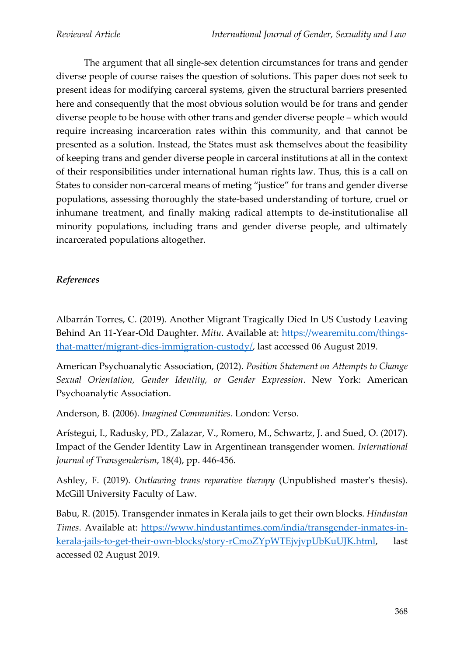The argument that all single-sex detention circumstances for trans and gender diverse people of course raises the question of solutions. This paper does not seek to present ideas for modifying carceral systems, given the structural barriers presented here and consequently that the most obvious solution would be for trans and gender diverse people to be house with other trans and gender diverse people – which would require increasing incarceration rates within this community, and that cannot be presented as a solution. Instead, the States must ask themselves about the feasibility of keeping trans and gender diverse people in carceral institutions at all in the context of their responsibilities under international human rights law. Thus, this is a call on States to consider non-carceral means of meting "justice" for trans and gender diverse populations, assessing thoroughly the state-based understanding of torture, cruel or inhumane treatment, and finally making radical attempts to de-institutionalise all minority populations, including trans and gender diverse people, and ultimately incarcerated populations altogether.

# *References*

Albarrán Torres, C. (2019). Another Migrant Tragically Died In US Custody Leaving Behind An 11-Year-Old Daughter. *Mitu*. Available at: [https://wearemitu.com/things](https://wearemitu.com/things-that-matter/migrant-dies-immigration-custody/)[that-matter/migrant-dies-immigration-custody/,](https://wearemitu.com/things-that-matter/migrant-dies-immigration-custody/) last accessed 06 August 2019.

American Psychoanalytic Association, (2012). *Position Statement on Attempts to Change Sexual Orientation, Gender Identity, or Gender Expression*. New York: American Psychoanalytic Association.

Anderson, B. (2006). *Imagined Communities*. London: Verso.

Arístegui, I., Radusky, PD., Zalazar, V., Romero, M., Schwartz, J. and Sued, O. (2017). Impact of the Gender Identity Law in Argentinean transgender women. *International Journal of Transgenderism*, 18(4), pp. 446-456.

Ashley, F. (2019). *Outlawing trans reparative therapy* (Unpublished master's thesis). McGill University Faculty of Law.

Babu, R. (2015). Transgender inmates in Kerala jails to get their own blocks. *Hindustan Times*. Available at: [https://www.hindustantimes.com/india/transgender-inmates-in](https://www.hindustantimes.com/india/transgender-inmates-in-kerala-jails-to-get-their-own-blocks/story-rCmoZYpWTEjvjvpUbKuUJK.html)[kerala-jails-to-get-their-own-blocks/story-rCmoZYpWTEjvjvpUbKuUJK.html,](https://www.hindustantimes.com/india/transgender-inmates-in-kerala-jails-to-get-their-own-blocks/story-rCmoZYpWTEjvjvpUbKuUJK.html) last accessed 02 August 2019.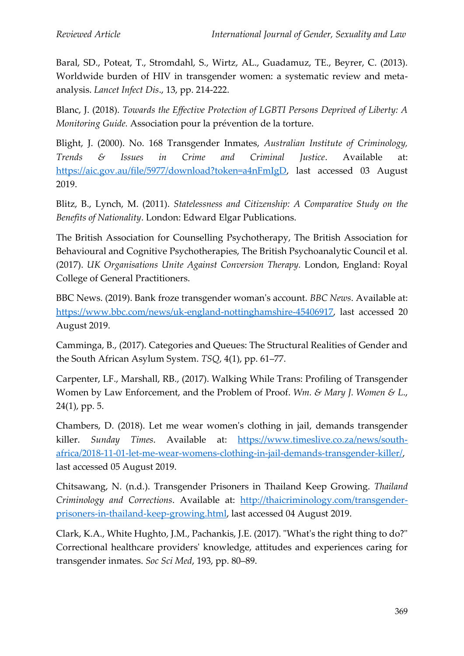Baral, SD., Poteat, T., Stromdahl, S., Wirtz, AL., Guadamuz, TE., Beyrer, C. (2013). Worldwide burden of HIV in transgender women: a systematic review and metaanalysis. *Lancet Infect Dis*., 13, pp. 214-222.

Blanc, J. (2018). *Towards the Effective Protection of LGBTI Persons Deprived of Liberty: A Monitoring Guide.* Association pour la prévention de la torture.

Blight, J. (2000). No. 168 Transgender Inmates, *Australian Institute of Criminology, Trends & Issues in Crime and Criminal Justice*. Available at: [https://aic.gov.au/file/5977/download?token=a4nFmIgD,](https://aic.gov.au/file/5977/download?token=a4nFmIgD) last accessed 03 August 2019.

Blitz, B., Lynch, M. (2011). *Statelessness and Citizenship: A Comparative Study on the Benefits of Nationality*. London: Edward Elgar Publications.

The British Association for Counselling Psychotherapy, The British Association for Behavioural and Cognitive Psychotherapies, The British Psychoanalytic Council et al. (2017). *UK Organisations Unite Against Conversion Therapy.* London, England: Royal College of General Practitioners.

BBC News. (2019). Bank froze transgender woman's account. *BBC News*. Available at: [https://www.bbc.com/news/uk-england-nottinghamshire-45406917,](https://www.bbc.com/news/uk-england-nottinghamshire-45406917) last accessed 20 August 2019.

Camminga, B., (2017). Categories and Queues: The Structural Realities of Gender and the South African Asylum System. *TSQ*, 4(1), pp. 61–77.

Carpenter, LF., Marshall, RB., (2017). Walking While Trans: Profiling of Transgender Women by Law Enforcement, and the Problem of Proof. *Wm. & Mary J. Women & L*., 24(1), pp. 5.

Chambers, D. (2018). Let me wear women's clothing in jail, demands transgender killer. *Sunday Times*. Available at: [https://www.timeslive.co.za/news/south](https://www.timeslive.co.za/news/south-africa/2018-11-01-let-me-wear-womens-clothing-in-jail-demands-transgender-killer/)[africa/2018-11-01-let-me-wear-womens-clothing-in-jail-demands-transgender-killer/,](https://www.timeslive.co.za/news/south-africa/2018-11-01-let-me-wear-womens-clothing-in-jail-demands-transgender-killer/) last accessed 05 August 2019.

Chitsawang, N. (n.d.). Transgender Prisoners in Thailand Keep Growing. *Thailand Criminology and Corrections*. Available at: [http://thaicriminology.com/transgender](http://thaicriminology.com/transgender-prisoners-in-thailand-keep-growing.html)[prisoners-in-thailand-keep-growing.html,](http://thaicriminology.com/transgender-prisoners-in-thailand-keep-growing.html) last accessed 04 August 2019.

Clark, K.A., White Hughto, J.M., Pachankis, J.E. (2017). "What's the right thing to do?" Correctional healthcare providers' knowledge, attitudes and experiences caring for transgender inmates. *Soc Sci Med*, 193, pp. 80–89.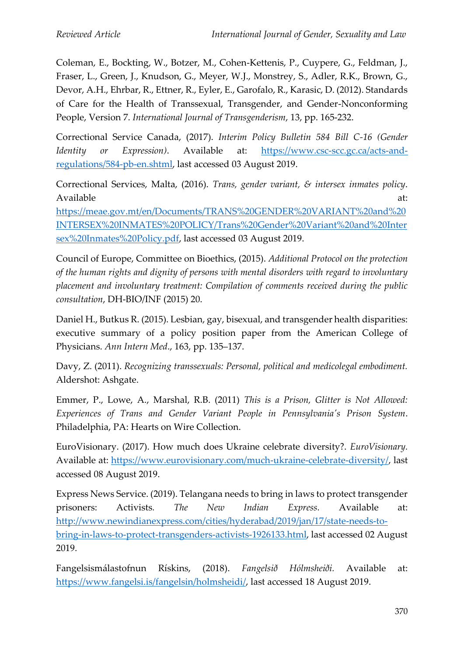Coleman, E., Bockting, W., Botzer, M., Cohen-Kettenis, P., Cuypere, G., Feldman, J., Fraser, L., Green, J., Knudson, G., Meyer, W.J., Monstrey, S., Adler, R.K., Brown, G., Devor, A.H., Ehrbar, R., Ettner, R., Eyler, E., Garofalo, R., Karasic, D. (2012). Standards of Care for the Health of Transsexual, Transgender, and Gender-Nonconforming People, Version 7. *International Journal of Transgenderism*, 13, pp. 165-232.

Correctional Service Canada, (2017). *Interim Policy Bulletin 584 Bill C-16 (Gender Identity or Expression)*. Available at: [https://www.csc-scc.gc.ca/acts-and](https://www.csc-scc.gc.ca/acts-and-regulations/584-pb-en.shtml)[regulations/584-pb-en.shtml,](https://www.csc-scc.gc.ca/acts-and-regulations/584-pb-en.shtml) last accessed 03 August 2019.

Correctional Services, Malta, (2016). *Trans, gender variant, & intersex inmates policy*. Available at: [https://meae.gov.mt/en/Documents/TRANS%20GENDER%20VARIANT%20and%20](https://meae.gov.mt/en/Documents/TRANS%20GENDER%20VARIANT%20and%20INTERSEX%20INMATES%20POLICY/Trans%20Gender%20Variant%20and%20Intersex%20Inmates%20Policy.pdf) [INTERSEX%20INMATES%20POLICY/Trans%20Gender%20Variant%20and%20Inter](https://meae.gov.mt/en/Documents/TRANS%20GENDER%20VARIANT%20and%20INTERSEX%20INMATES%20POLICY/Trans%20Gender%20Variant%20and%20Intersex%20Inmates%20Policy.pdf) [sex%20Inmates%20Policy.pdf,](https://meae.gov.mt/en/Documents/TRANS%20GENDER%20VARIANT%20and%20INTERSEX%20INMATES%20POLICY/Trans%20Gender%20Variant%20and%20Intersex%20Inmates%20Policy.pdf) last accessed 03 August 2019.

Council of Europe, Committee on Bioethics, (2015). *Additional Protocol on the protection of the human rights and dignity of persons with mental disorders with regard to involuntary placement and involuntary treatment: Compilation of comments received during the public consultation*, DH-BIO/INF (2015) 20.

Daniel H., Butkus R. (2015). Lesbian, gay, bisexual, and transgender health disparities: executive summary of a policy position paper from the American College of Physicians. *Ann Intern Med*., 163, pp. 135–137.

Davy, Z. (2011). *Recognizing transsexuals: Personal, political and medicolegal embodiment.* Aldershot: Ashgate.

Emmer, P., Lowe, A., Marshal, R.B. (2011) *This is a Prison, Glitter is Not Allowed: Experiences of Trans and Gender Variant People in Pennsylvania's Prison System*. Philadelphia, PA: Hearts on Wire Collection.

EuroVisionary. (2017). How much does Ukraine celebrate diversity?. *EuroVisionary.*  Available at: [https://www.eurovisionary.com/much-ukraine-celebrate-diversity/,](https://www.eurovisionary.com/much-ukraine-celebrate-diversity/) last accessed 08 August 2019.

Express News Service. (2019). Telangana needs to bring in laws to protect transgender prisoners: Activists*. The New Indian Express.* Available at: [http://www.newindianexpress.com/cities/hyderabad/2019/jan/17/state-needs-to](http://www.newindianexpress.com/cities/hyderabad/2019/jan/17/state-needs-to-bring-in-laws-to-protect-transgenders-activists-1926133.html)[bring-in-laws-to-protect-transgenders-activists-1926133.html,](http://www.newindianexpress.com/cities/hyderabad/2019/jan/17/state-needs-to-bring-in-laws-to-protect-transgenders-activists-1926133.html) last accessed 02 August 2019.

Fangelsismálastofnun Rískins, (2018). *Fangelsið Hólmsheiði.* Available at: [https://www.fangelsi.is/fangelsin/holmsheidi/,](https://www.fangelsi.is/fangelsin/holmsheidi/) last accessed 18 August 2019.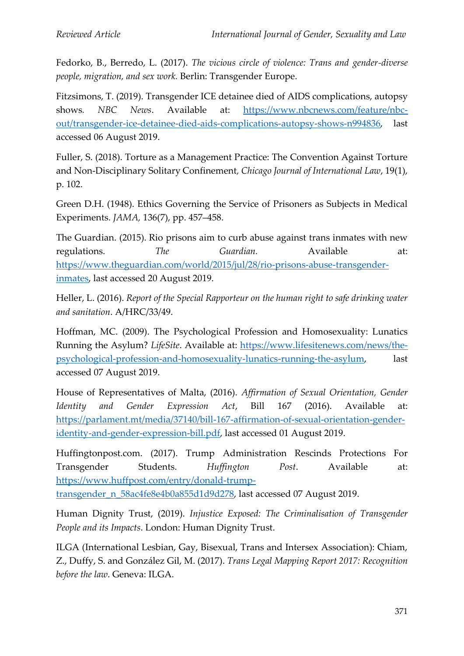Fedorko, B., Berredo, L. (2017). *The vicious circle of violence: Trans and gender-diverse people, migration, and sex work.* Berlin: Transgender Europe.

Fitzsimons, T. (2019). Transgender ICE detainee died of AIDS complications, autopsy shows*. NBC News*. Available at: [https://www.nbcnews.com/feature/nbc](https://www.nbcnews.com/feature/nbc-out/transgender-ice-detainee-died-aids-complications-autopsy-shows-n994836)[out/transgender-ice-detainee-died-aids-complications-autopsy-shows-n994836,](https://www.nbcnews.com/feature/nbc-out/transgender-ice-detainee-died-aids-complications-autopsy-shows-n994836) last accessed 06 August 2019.

Fuller, S. (2018). Torture as a Management Practice: The Convention Against Torture and Non-Disciplinary Solitary Confinement*, Chicago Journal of International Law*, 19(1), p. 102.

Green D.H. (1948). Ethics Governing the Service of Prisoners as Subjects in Medical Experiments. *JAMA,* 136(7), pp. 457–458.

The Guardian. (2015). Rio prisons aim to curb abuse against trans inmates with new regulations. *The Guardian*. Available at: [https://www.theguardian.com/world/2015/jul/28/rio-prisons-abuse-transgender](https://www.theguardian.com/world/2015/jul/28/rio-prisons-abuse-transgender-inmates)[inmates,](https://www.theguardian.com/world/2015/jul/28/rio-prisons-abuse-transgender-inmates) last accessed 20 August 2019.

Heller, L. (2016). *Report of the Special Rapporteur on the human right to safe drinking water and sanitation*. A/HRC/33/49.

Hoffman, MC. (2009). The Psychological Profession and Homosexuality: Lunatics Running the Asylum? *LifeSite*. Available at: [https://www.lifesitenews.com/news/the](https://www.lifesitenews.com/news/the-psychological-profession-and-homosexuality-lunatics-running-the-asylum)[psychological-profession-and-homosexuality-lunatics-running-the-asylum,](https://www.lifesitenews.com/news/the-psychological-profession-and-homosexuality-lunatics-running-the-asylum) last accessed 07 August 2019.

House of Representatives of Malta, (2016). *Affirmation of Sexual Orientation, Gender Identity and Gender Expression Act*, Bill 167 (2016). Available at: [https://parlament.mt/media/37140/bill-167-affirmation-of-sexual-orientation-gender](https://parlament.mt/media/37140/bill-167-affirmation-of-sexual-orientation-gender-identity-and-gender-expression-bill.pdf)[identity-and-gender-expression-bill.pdf,](https://parlament.mt/media/37140/bill-167-affirmation-of-sexual-orientation-gender-identity-and-gender-expression-bill.pdf) last accessed 01 August 2019.

Huffingtonpost.com. (2017). Trump Administration Rescinds Protections For Transgender Students. *Huffington Post*. Available at: [https://www.huffpost.com/entry/donald-trump-](https://www.huffpost.com/entry/donald-trump-transgender_n_58ac4fe8e4b0a855d1d9d278)

[transgender\\_n\\_58ac4fe8e4b0a855d1d9d278,](https://www.huffpost.com/entry/donald-trump-transgender_n_58ac4fe8e4b0a855d1d9d278) last accessed 07 August 2019.

Human Dignity Trust, (2019). *Injustice Exposed: The Criminalisation of Transgender People and its Impacts*. London: Human Dignity Trust.

ILGA (International Lesbian, Gay, Bisexual, Trans and Intersex Association): Chiam, Z., Duffy, S. and González Gil, M. (2017). *Trans Legal Mapping Report 2017: Recognition before the law*. Geneva: ILGA.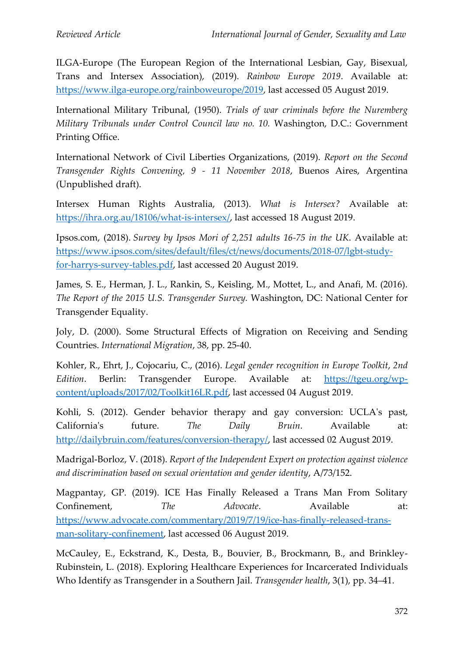ILGA-Europe (The European Region of the International Lesbian, Gay, Bisexual, Trans and Intersex Association), (2019). *Rainbow Europe 2019*. Available at: [https://www.ilga-europe.org/rainboweurope/2019,](https://www.ilga-europe.org/rainboweurope/2019) last accessed 05 August 2019.

International Military Tribunal, (1950). *Trials of war criminals before the Nuremberg Military Tribunals under Control Council law no. 10.* Washington, D.C.: Government Printing Office.

International Network of Civil Liberties Organizations, (2019). *Report on the Second Transgender Rights Convening, 9 - 11 November 2018*, Buenos Aires, Argentina (Unpublished draft).

Intersex Human Rights Australia, (2013). *What is Intersex?* Available at: [https://ihra.org.au/18106/what-is-intersex/,](https://ihra.org.au/18106/what-is-intersex/) last accessed 18 August 2019.

Ipsos.com, (2018). *Survey by Ipsos Mori of 2,251 adults 16-75 in the UK*. Available at: [https://www.ipsos.com/sites/default/files/ct/news/documents/2018-07/lgbt-study](https://www.ipsos.com/sites/default/files/ct/news/documents/2018-07/lgbt-study-for-harrys-survey-tables.pdf)[for-harrys-survey-tables.pdf,](https://www.ipsos.com/sites/default/files/ct/news/documents/2018-07/lgbt-study-for-harrys-survey-tables.pdf) last accessed 20 August 2019.

James, S. E., Herman, J. L., Rankin, S., Keisling, M., Mottet, L., and Anafi, M. (2016). *The Report of the 2015 U.S. Transgender Survey.* Washington, DC: National Center for Transgender Equality.

Joly, D. (2000). Some Structural Effects of Migration on Receiving and Sending Countries. *International Migration*, 38, pp. 25-40.

Kohler, R., Ehrt, J., Cojocariu, C., (2016). *Legal gender recognition in Europe Toolkit*, *2nd Edition*. Berlin: Transgender Europe. Available at: [https://tgeu.org/wp](https://tgeu.org/wp-content/uploads/2017/02/Toolkit16LR.pdf)[content/uploads/2017/02/Toolkit16LR.pdf,](https://tgeu.org/wp-content/uploads/2017/02/Toolkit16LR.pdf) last accessed 04 August 2019.

Kohli, S. (2012). Gender behavior therapy and gay conversion: UCLA's past, California's future. *The Daily Bruin*. Available at: [http://dailybruin.com/features/conversion-therapy/,](http://dailybruin.com/features/conversion-therapy/) last accessed 02 August 2019.

Madrigal-Borloz, V. (2018). *Report of the Independent Expert on protection against violence and discrimination based on sexual orientation and gender identity*, A/73/152.

Magpantay, GP. (2019). ICE Has Finally Released a Trans Man From Solitary Confinement, *The Advocate*. Available at: [https://www.advocate.com/commentary/2019/7/19/ice-has-finally-released-trans](https://www.advocate.com/commentary/2019/7/19/ice-has-finally-released-trans-man-solitary-confinement)[man-solitary-confinement,](https://www.advocate.com/commentary/2019/7/19/ice-has-finally-released-trans-man-solitary-confinement) last accessed 06 August 2019.

McCauley, E., Eckstrand, K., Desta, B., Bouvier, B., Brockmann, B., and Brinkley-Rubinstein, L. (2018). Exploring Healthcare Experiences for Incarcerated Individuals Who Identify as Transgender in a Southern Jail. *Transgender health*, 3(1), pp. 34–41.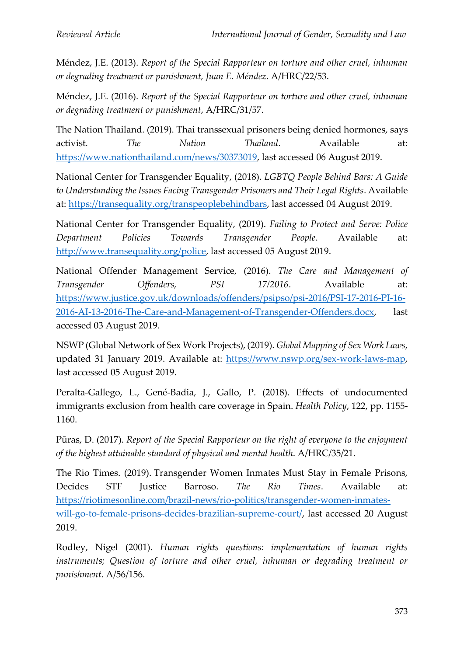Méndez, J.E. (2013). *Report of the Special Rapporteur on torture and other cruel, inhuman or degrading treatment or punishment, Juan E. Méndez*. A/HRC/22/53.

Méndez, J.E. (2016). *Report of the Special Rapporteur on torture and other cruel, inhuman or degrading treatment or punishment*, A/HRC/31/57.

The Nation Thailand. (2019). Thai transsexual prisoners being denied hormones, says activist*. The Nation Thailand*. Available at: [https://www.nationthailand.com/news/30373019,](https://www.nationthailand.com/news/30373019) last accessed 06 August 2019.

National Center for Transgender Equality, (2018). *LGBTQ People Behind Bars: A Guide*  to Understanding the Issues Facing Transgender Prisoners and Their Legal Rights. Available at: [https://transequality.org/transpeoplebehindbars,](https://transequality.org/transpeoplebehindbars) last accessed 04 August 2019.

National Center for Transgender Equality, (2019). *Failing to Protect and Serve: Police Department Policies Towards Transgender People*. Available at: [http://www.transequality.org/police,](http://www.transequality.org/police) last accessed 05 August 2019.

National Offender Management Service, (2016). *The Care and Management of Transgender Offenders, PSI 17/2016*. Available at: [https://www.justice.gov.uk/downloads/offenders/psipso/psi-2016/PSI-17-2016-PI-16-](https://www.justice.gov.uk/downloads/offenders/psipso/psi-2016/PSI-17-2016-PI-16-2016-AI-13-2016-The-Care-and-Management-of-Transgender-Offenders.docx) [2016-AI-13-2016-The-Care-and-Management-of-Transgender-Offenders.docx,](https://www.justice.gov.uk/downloads/offenders/psipso/psi-2016/PSI-17-2016-PI-16-2016-AI-13-2016-The-Care-and-Management-of-Transgender-Offenders.docx) last accessed 03 August 2019.

NSWP (Global Network of Sex Work Projects), (2019). *Global Mapping of Sex Work Laws*, updated 31 January 2019. Available at: [https://www.nswp.org/sex-work-laws-map,](https://www.nswp.org/sex-work-laws-map) last accessed 05 August 2019.

Peralta-Gallego, L., Gené-Badia, J., Gallo, P. (2018). Effects of undocumented immigrants exclusion from health care coverage in Spain. *Health Policy*, 122, pp. 1155- 1160.

Pūras, D. (2017). *Report of the Special Rapporteur on the right of everyone to the enjoyment of the highest attainable standard of physical and mental health*. A/HRC/35/21.

The Rio Times. (2019). Transgender Women Inmates Must Stay in Female Prisons, Decides STF Justice Barroso. *The Rio Times*. Available at: [https://riotimesonline.com/brazil-news/rio-politics/transgender-women-inmates](https://riotimesonline.com/brazil-news/rio-politics/transgender-women-inmates-will-go-to-female-prisons-decides-brazilian-supreme-court/)[will-go-to-female-prisons-decides-brazilian-supreme-court/,](https://riotimesonline.com/brazil-news/rio-politics/transgender-women-inmates-will-go-to-female-prisons-decides-brazilian-supreme-court/) last accessed 20 August 2019.

Rodley, Nigel (2001). *Human rights questions: implementation of human rights instruments; Question of torture and other cruel, inhuman or degrading treatment or punishment*. A/56/156.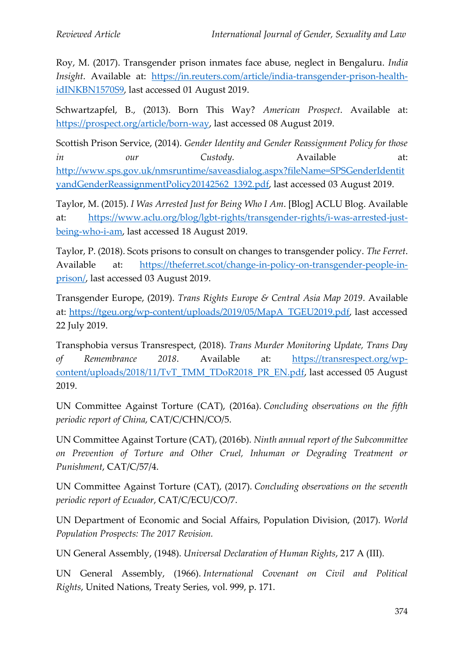Roy, M. (2017). Transgender prison inmates face abuse, neglect in Bengaluru. *India Insight*. Available at: [https://in.reuters.com/article/india-transgender-prison-health](https://in.reuters.com/article/india-transgender-prison-health-idINKBN1570S9)[idINKBN1570S9,](https://in.reuters.com/article/india-transgender-prison-health-idINKBN1570S9) last accessed 01 August 2019.

Schwartzapfel, B., (2013). Born This Way? *American Prospect*. Available at: [https://prospect.org/article/born-way,](https://prospect.org/article/born-way) last accessed 08 August 2019.

Scottish Prison Service, (2014). *Gender Identity and Gender Reassignment Policy for those in our Custody.* Available at: [http://www.sps.gov.uk/nmsruntime/saveasdialog.aspx?fileName=SPSGenderIdentit](http://www.sps.gov.uk/nmsruntime/saveasdialog.aspx?fileName=SPSGenderIdentityandGenderReassignmentPolicy20142562_1392.pdf) [yandGenderReassignmentPolicy20142562\\_1392.pdf,](http://www.sps.gov.uk/nmsruntime/saveasdialog.aspx?fileName=SPSGenderIdentityandGenderReassignmentPolicy20142562_1392.pdf) last accessed 03 August 2019.

Taylor, M. (2015). *I Was Arrested Just for Being Who I Am*. [Blog] ACLU Blog. Available at: [https://www.aclu.org/blog/lgbt-rights/transgender-rights/i-was-arrested-just](https://www.aclu.org/blog/lgbt-rights/transgender-rights/i-was-arrested-just-being-who-i-am)[being-who-i-am,](https://www.aclu.org/blog/lgbt-rights/transgender-rights/i-was-arrested-just-being-who-i-am) last accessed 18 August 2019.

Taylor, P. (2018). Scots prisons to consult on changes to transgender policy. *The Ferret*. Available at: [https://theferret.scot/change-in-policy-on-transgender-people-in](https://theferret.scot/change-in-policy-on-transgender-people-in-prison/)[prison/,](https://theferret.scot/change-in-policy-on-transgender-people-in-prison/) last accessed 03 August 2019.

Transgender Europe, (2019). *Trans Rights Europe & Central Asia Map 2019*. Available at: [https://tgeu.org/wp-content/uploads/2019/05/MapA\\_TGEU2019.pdf,](https://tgeu.org/wp-content/uploads/2019/05/MapA_TGEU2019.pdf) last accessed 22 July 2019.

Transphobia versus Transrespect, (2018). *Trans Murder Monitoring Update, Trans Day of Remembrance 2018*. Available at: [https://transrespect.org/wp](https://transrespect.org/wp-content/uploads/2018/11/TvT_TMM_TDoR2018_PR_EN.pdf)[content/uploads/2018/11/TvT\\_TMM\\_TDoR2018\\_PR\\_EN.pdf,](https://transrespect.org/wp-content/uploads/2018/11/TvT_TMM_TDoR2018_PR_EN.pdf) last accessed 05 August 2019.

UN Committee Against Torture (CAT), (2016a). *Concluding observations on the fifth periodic report of China*, CAT/C/CHN/CO/5.

UN Committee Against Torture (CAT), (2016b). *Ninth annual report of the Subcommittee on Prevention of Torture and Other Cruel, Inhuman or Degrading Treatment or Punishment*, CAT/C/57/4.

UN Committee Against Torture (CAT), (2017). *Concluding observations on the seventh periodic report of Ecuador*, CAT/C/ECU/CO/7.

UN Department of Economic and Social Affairs, Population Division, (2017). *World Population Prospects: The 2017 Revision.*

UN General Assembly, (1948). *Universal Declaration of Human Rights*, 217 A (III).

UN General Assembly, (1966). *International Covenant on Civil and Political Rights*, United Nations, Treaty Series, vol. 999, p. 171.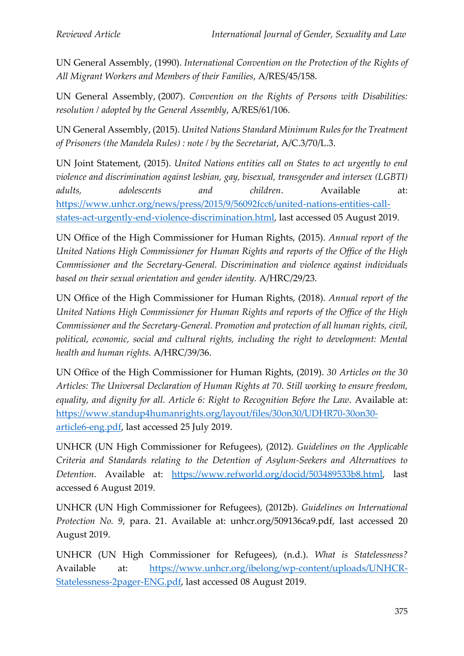UN General Assembly, (1990). *International Convention on the Protection of the Rights of All Migrant Workers and Members of their Families*, A/RES/45/158.

UN General Assembly, (2007). *Convention on the Rights of Persons with Disabilities: resolution / adopted by the General Assembly*, A/RES/61/106.

UN General Assembly, (2015). *United Nations Standard Minimum Rules for the Treatment of Prisoners (the Mandela Rules) : note / by the Secretariat*, A/C.3/70/L.3.

UN Joint Statement, (2015). *United Nations entities call on States to act urgently to end violence and discrimination against lesbian, gay, bisexual, transgender and intersex (LGBTI) adults, adolescents and children*. Available at: [https://www.unhcr.org/news/press/2015/9/56092fcc6/united-nations-entities-call](https://www.unhcr.org/news/press/2015/9/56092fcc6/united-nations-entities-call-states-act-urgently-end-violence-discrimination.html)[states-act-urgently-end-violence-discrimination.html,](https://www.unhcr.org/news/press/2015/9/56092fcc6/united-nations-entities-call-states-act-urgently-end-violence-discrimination.html) last accessed 05 August 2019.

UN Office of the High Commissioner for Human Rights, (2015). *Annual report of the United Nations High Commissioner for Human Rights and reports of the Office of the High Commissioner and the Secretary-General. Discrimination and violence against individuals based on their sexual orientation and gender identity.* A/HRC/29/23.

UN Office of the High Commissioner for Human Rights, (2018). *Annual report of the United Nations High Commissioner for Human Rights and reports of the Office of the High Commissioner and the Secretary-General. Promotion and protection of all human rights, civil, political, economic, social and cultural rights, including the right to development: Mental health and human rights.* A/HRC/39/36.

UN Office of the High Commissioner for Human Rights, (2019). *30 Articles on the 30 Articles: The Universal Declaration of Human Rights at 70*. *Still working to ensure freedom, equality, and dignity for all. Article 6: Right to Recognition Before the Law*. Available at: [https://www.standup4humanrights.org/layout/files/30on30/UDHR70-30on30](https://www.standup4humanrights.org/layout/files/30on30/UDHR70-30on30-article6-eng.pdf) [article6-eng.pdf,](https://www.standup4humanrights.org/layout/files/30on30/UDHR70-30on30-article6-eng.pdf) last accessed 25 July 2019.

UNHCR (UN High Commissioner for Refugees), (2012). *Guidelines on the Applicable Criteria and Standards relating to the Detention of Asylum-Seekers and Alternatives to Detention*. Available at: [https://www.refworld.org/docid/503489533b8.html,](https://www.refworld.org/docid/503489533b8.html) last accessed 6 August 2019.

UNHCR (UN High Commissioner for Refugees), (2012b). *Guidelines on International Protection No. 9*, para. 21. Available at: unhcr.org/509136ca9.pdf, last accessed 20 August 2019.

UNHCR (UN High Commissioner for Refugees), (n.d.). *What is Statelessness?* Available at: [https://www.unhcr.org/ibelong/wp-content/uploads/UNHCR-](https://www.unhcr.org/ibelong/wp-content/uploads/UNHCR-Statelessness-2pager-ENG.pdf)[Statelessness-2pager-ENG.pdf,](https://www.unhcr.org/ibelong/wp-content/uploads/UNHCR-Statelessness-2pager-ENG.pdf) last accessed 08 August 2019.